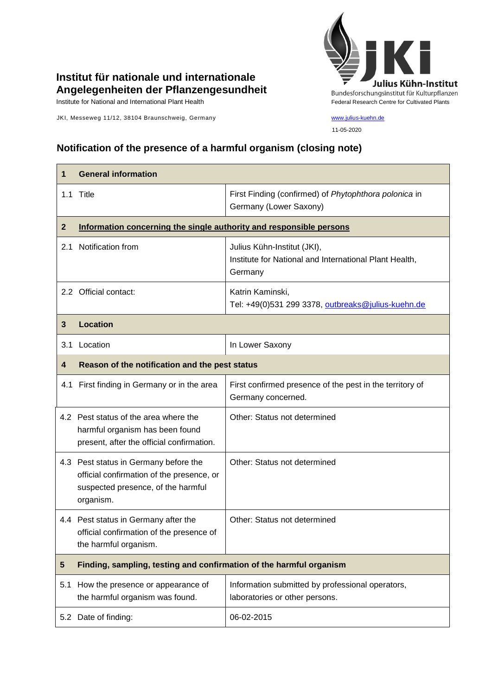

## **Institut für nationale und internationale Angelegenheiten der Pflanzengesundheit**

JKI, Messeweg 11/12, 38104 Braunschweig, Germany [www.julius-kuehn.de](http://www.julius-kuehn.de/)

11-05-2020

## **Notification of the presence of a harmful organism (closing note)**

| 1            | <b>General information</b>                                                                                                            |                                                                                                  |
|--------------|---------------------------------------------------------------------------------------------------------------------------------------|--------------------------------------------------------------------------------------------------|
|              | 1.1 Title                                                                                                                             | First Finding (confirmed) of Phytophthora polonica in<br>Germany (Lower Saxony)                  |
| $\mathbf{2}$ | Information concerning the single authority and responsible persons                                                                   |                                                                                                  |
| 2.1          | Notification from                                                                                                                     | Julius Kühn-Institut (JKI),<br>Institute for National and International Plant Health,<br>Germany |
|              | 2.2 Official contact:                                                                                                                 | Katrin Kaminski,<br>Tel: +49(0)531 299 3378, outbreaks@julius-kuehn.de                           |
| 3            | <b>Location</b>                                                                                                                       |                                                                                                  |
| 3.1          | Location                                                                                                                              | In Lower Saxony                                                                                  |
| 4            | Reason of the notification and the pest status                                                                                        |                                                                                                  |
|              | 4.1 First finding in Germany or in the area                                                                                           | First confirmed presence of the pest in the territory of<br>Germany concerned.                   |
|              | 4.2 Pest status of the area where the<br>harmful organism has been found<br>present, after the official confirmation.                 | Other: Status not determined                                                                     |
|              | 4.3 Pest status in Germany before the<br>official confirmation of the presence, or<br>suspected presence, of the harmful<br>organism. | Other: Status not determined                                                                     |
|              | 4.4 Pest status in Germany after the<br>official confirmation of the presence of<br>the harmful organism.                             | Other: Status not determined                                                                     |
| 5            | Finding, sampling, testing and confirmation of the harmful organism                                                                   |                                                                                                  |
| 5.1          | How the presence or appearance of<br>the harmful organism was found.                                                                  | Information submitted by professional operators,<br>laboratories or other persons.               |
|              | 5.2 Date of finding:                                                                                                                  | 06-02-2015                                                                                       |